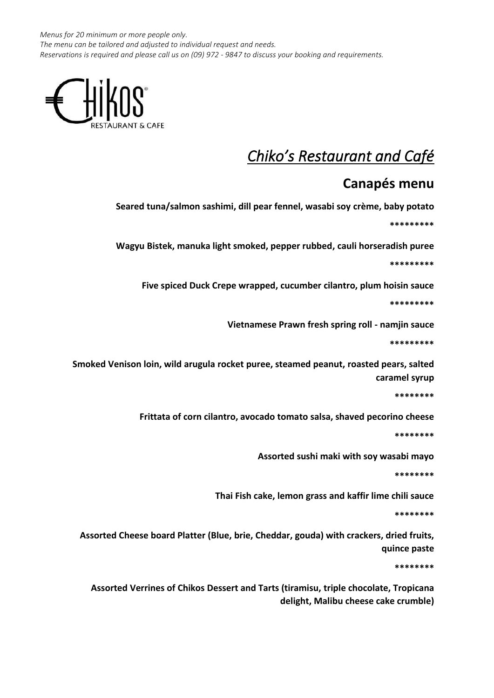*Menus for 20 minimum or more people only. The menu can be tailored and adjusted to individual request and needs. Reservations is required and please call us on (09) 972 - 9847 to discuss your booking and requirements.*



## *Chiko's Restaurant and Café*

## **Canapés menu**

**Seared tuna/salmon sashimi, dill pear fennel, wasabi soy crème, baby potato \*\*\*\*\*\*\*\*\***

**Wagyu Bistek, manuka light smoked, pepper rubbed, cauli horseradish puree**

**\*\*\*\*\*\*\*\*\***

**Five spiced Duck Crepe wrapped, cucumber cilantro, plum hoisin sauce**

**\*\*\*\*\*\*\*\*\***

**Vietnamese Prawn fresh spring roll - namjin sauce**

**\*\*\*\*\*\*\*\*\***

**Smoked Venison loin, wild arugula rocket puree, steamed peanut, roasted pears, salted caramel syrup**

**\*\*\*\*\*\*\*\***

**Frittata of corn cilantro, avocado tomato salsa, shaved pecorino cheese**

**\*\*\*\*\*\*\*\***

**Assorted sushi maki with soy wasabi mayo**

**\*\*\*\*\*\*\*\***

**Thai Fish cake, lemon grass and kaffir lime chili sauce**

**\*\*\*\*\*\*\*\***

**Assorted Cheese board Platter (Blue, brie, Cheddar, gouda) with crackers, dried fruits, quince paste**

**\*\*\*\*\*\*\*\***

**Assorted Verrines of Chikos Dessert and Tarts (tiramisu, triple chocolate, Tropicana delight, Malibu cheese cake crumble)**